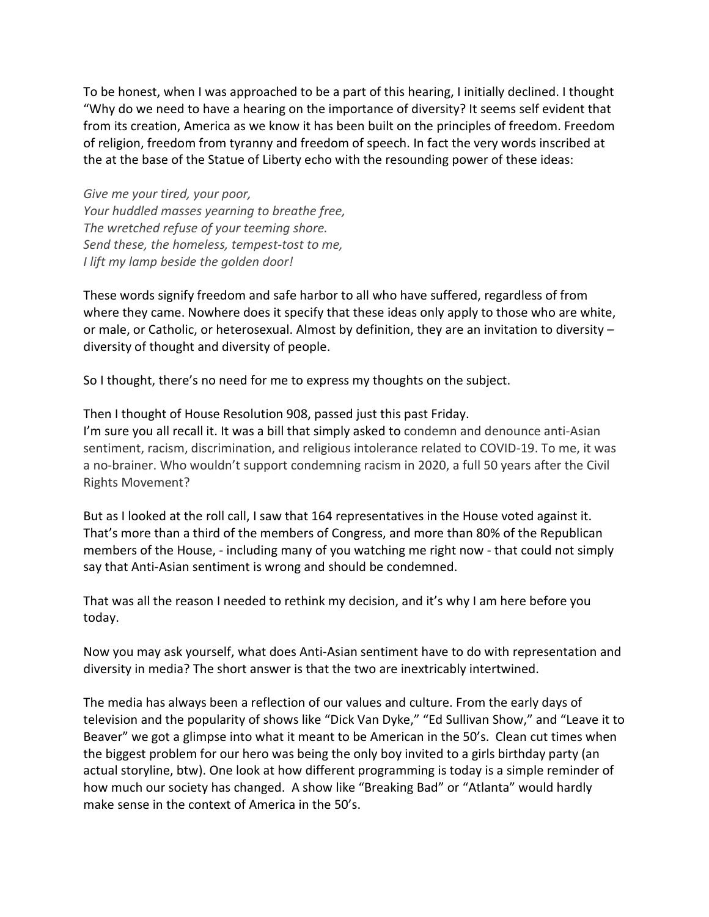To be honest, when I was approached to be a part of this hearing, I initially declined. I thought "Why do we need to have a hearing on the importance of diversity? It seems self evident that from its creation, America as we know it has been built on the principles of freedom. Freedom of religion, freedom from tyranny and freedom of speech. In fact the very words inscribed at the at the base of the Statue of Liberty echo with the resounding power of these ideas:

*Give me your tired, your poor, Your huddled masses yearning to breathe free, The wretched refuse of your teeming shore. Send these, the homeless, tempest-tost to me, I lift my lamp beside the golden door!*

These words signify freedom and safe harbor to all who have suffered, regardless of from where they came. Nowhere does it specify that these ideas only apply to those who are white, or male, or Catholic, or heterosexual. Almost by definition, they are an invitation to diversity – diversity of thought and diversity of people.

So I thought, there's no need for me to express my thoughts on the subject.

Then I thought of House Resolution 908, passed just this past Friday. I'm sure you all recall it. It was a bill that simply asked to condemn and denounce anti-Asian sentiment, racism, discrimination, and religious intolerance related to COVID-19. To me, it was a no-brainer. Who wouldn't support condemning racism in 2020, a full 50 years after the Civil Rights Movement?

But as I looked at the roll call, I saw that 164 representatives in the House voted against it. That's more than a third of the members of Congress, and more than 80% of the Republican members of the House, - including many of you watching me right now - that could not simply say that Anti-Asian sentiment is wrong and should be condemned.

That was all the reason I needed to rethink my decision, and it's why I am here before you today.

Now you may ask yourself, what does Anti-Asian sentiment have to do with representation and diversity in media? The short answer is that the two are inextricably intertwined.

The media has always been a reflection of our values and culture. From the early days of television and the popularity of shows like "Dick Van Dyke," "Ed Sullivan Show," and "Leave it to Beaver" we got a glimpse into what it meant to be American in the 50's. Clean cut times when the biggest problem for our hero was being the only boy invited to a girls birthday party (an actual storyline, btw). One look at how different programming is today is a simple reminder of how much our society has changed. A show like "Breaking Bad" or "Atlanta" would hardly make sense in the context of America in the 50's.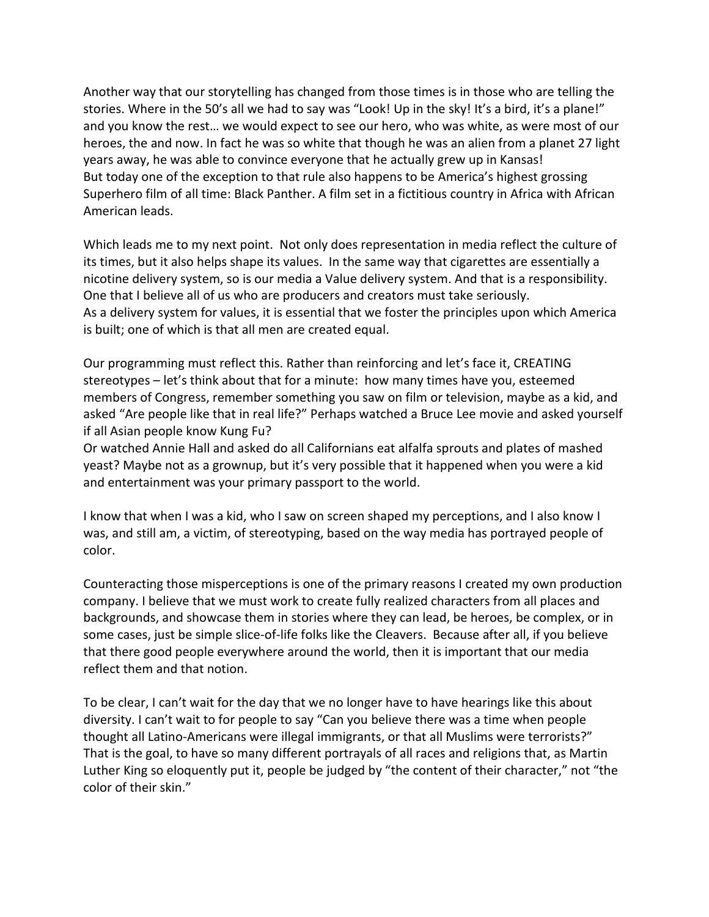Another way that our storytelling has changed from those times is in those who are telling the stories. Where in the 50's all we had to say was "Look! Up in the sky! It's a bird, it's a plane!" and you know the rest… we would expect to see our hero, who was white, as were most of our heroes, the and now. In fact he was so white that though he was an alien from a planet 27 light years away, he was able to convince everyone that he actually grew up in Kansas! But today one of the exception to that rule also happens to be America's highest grossing Superhero film of all time: Black Panther. A film set in a fictitious country in Africa with African American leads.

Which leads me to my next point. Not only does representation in media reflect the culture of its times, but it also helps shape its values. In the same way that cigarettes are essentially a nicotine delivery system, so is our media a Value delivery system. And that is a responsibility. One that I believe all of us who are producers and creators must take seriously. As a delivery system for values, it is essential that we foster the principles upon which America is built; one of which is that all men are created equal.

Our programming must reflect this. Rather than reinforcing and let's face it, CREATING stereotypes – let's think about that for a minute: how many times have you, esteemed members of Congress, remember something you saw on film or television, maybe as a kid, and asked "Are people like that in real life?" Perhaps watched a Bruce Lee movie and asked yourself if all Asian people know Kung Fu?

Or watched Annie Hall and asked do all Californians eat alfalfa sprouts and plates of mashed yeast? Maybe not as a grownup, but it's very possible that it happened when you were a kid and entertainment was your primary passport to the world.

I know that when I was a kid, who I saw on screen shaped my perceptions, and I also know I was, and still am, a victim, of stereotyping, based on the way media has portrayed people of color.

Counteracting those misperceptions is one of the primary reasons I created my own production company. I believe that we must work to create fully realized characters from all places and backgrounds, and showcase them in stories where they can lead, be heroes, be complex, or in some cases, just be simple slice-of-life folks like the Cleavers. Because after all, if you believe that there good people everywhere around the world, then it is important that our media reflect them and that notion.

To be clear, I can't wait for the day that we no longer have to have hearings like this about diversity. I can't wait to for people to say "Can you believe there was a time when people thought all Latino-Americans were illegal immigrants, or that all Muslims were terrorists?" That is the goal, to have so many different portrayals of all races and religions that, as Martin Luther King so eloquently put it, people be judged by "the content of their character," not "the color of their skin."